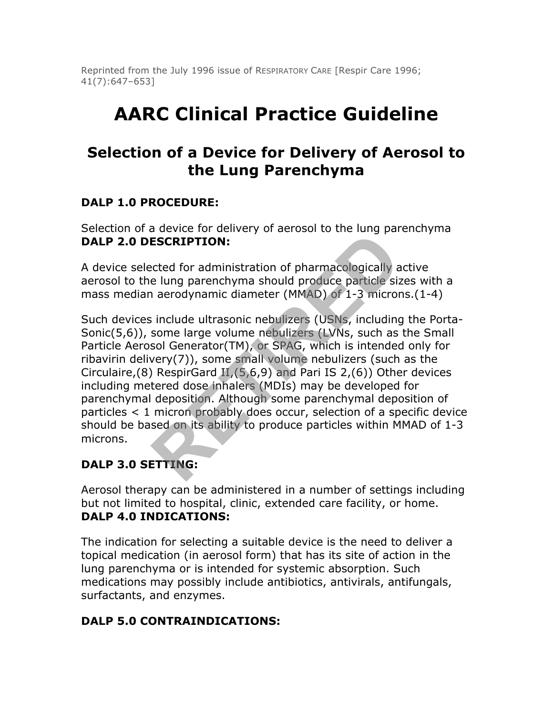Reprinted from the July 1996 issue of RESPIRATORY CARE [Respir Care 1996; 41(7):647–653]

# **AARC Clinical Practice Guideline**

## **Selection of a Device for Delivery of Aerosol to the Lung Parenchyma**

## **DALP 1.0 PROCEDURE:**

Selection of a device for delivery of aerosol to the lung parenchyma **DALP 2.0 DESCRIPTION:**

A device selected for administration of pharmacologically active aerosol to the lung parenchyma should produce particle sizes with a mass median aerodynamic diameter (MMAD) of 1-3 microns.(1-4)

Such devices include ultrasonic nebulizers (USNs, including the Porta-Sonic(5,6)), some large volume nebulizers (LVNs, such as the Small Particle Aerosol Generator(TM), or SPAG, which is intended only for ribavirin delivery(7)), some small volume nebulizers (such as the Circulaire,(8) RespirGard  $II$ ,  $(5,6,9)$  and Pari IS 2,(6)) Other devices including metered dose inhalers (MDIs) may be developed for parenchymal deposition. Although some parenchymal deposition of particles < 1 micron probably does occur, selection of a specific device should be based on its ability to produce particles within MMAD of 1-3 microns. **ESCRIPTION:**<br> **RESCRIPTION:**<br> **RESCRIPTION:**<br> **RESCRIPTION:**<br> **RESCRIPTION:**<br> **RESCRIPTION:**<br> **RESCRIPTION:**<br> **RESCRIPTION:**<br> **RESCRIPTION:**<br> **RESCRIPTION:**<br> **RESCRIPTION:**<br> **RESCRIPTION:**<br> **RESCRIPTION:**<br> **RESCRIPTION:**<br>

#### **DALP 3.0 SETTING:**

Aerosol therapy can be administered in a number of settings including but not limited to hospital, clinic, extended care facility, or home. **DALP 4.0 INDICATIONS:**

The indication for selecting a suitable device is the need to deliver a topical medication (in aerosol form) that has its site of action in the lung parenchyma or is intended for systemic absorption. Such medications may possibly include antibiotics, antivirals, antifungals, surfactants, and enzymes.

## **DALP 5.0 CONTRAINDICATIONS:**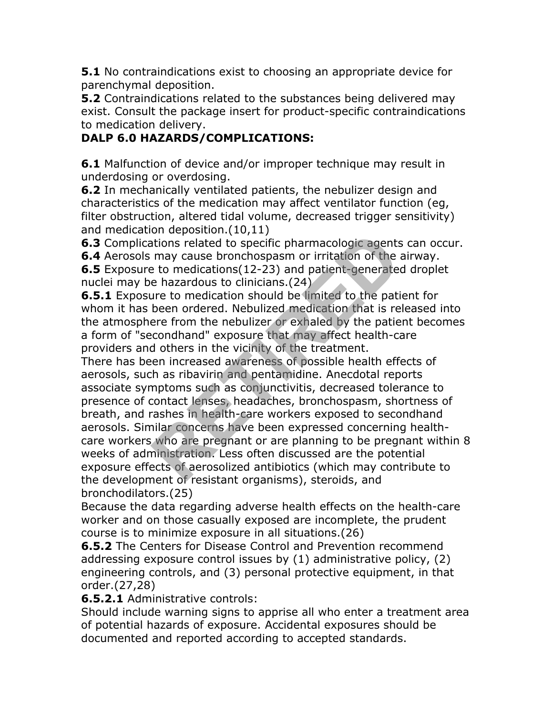**5.1** No contraindications exist to choosing an appropriate device for parenchymal deposition.

**5.2** Contraindications related to the substances being delivered may exist. Consult the package insert for product-specific contraindications to medication delivery.

## **DALP 6.0 HAZARDS/COMPLICATIONS:**

**6.1** Malfunction of device and/or improper technique may result in underdosing or overdosing.

**6.2** In mechanically ventilated patients, the nebulizer design and characteristics of the medication may affect ventilator function (eg, filter obstruction, altered tidal volume, decreased trigger sensitivity) and medication deposition.(10,11)

**6.3** Complications related to specific pharmacologic agents can occur.

**6.4** Aerosols may cause bronchospasm or irritation of the airway.

**6.5** Exposure to medications(12-23) and patient-generated droplet nuclei may be hazardous to clinicians.(24)

**6.5.1** Exposure to medication should be limited to the patient for whom it has been ordered. Nebulized medication that is released into the atmosphere from the nebulizer or exhaled by the patient becomes a form of "secondhand" exposure that may affect health-care providers and others in the vicinity of the treatment.

There has been increased awareness of possible health effects of aerosols, such as ribavirin and pentamidine. Anecdotal reports associate symptoms such as conjunctivitis, decreased tolerance to presence of contact lenses, headaches, bronchospasm, shortness of breath, and rashes in health-care workers exposed to secondhand aerosols. Similar concerns have been expressed concerning healthcare workers who are pregnant or are planning to be pregnant within 8 weeks of administration. Less often discussed are the potential exposure effects of aerosolized antibiotics (which may contribute to the development of resistant organisms), steroids, and bronchodilators.(25) ori deposition.(19711)<br>tions related to specific pharmacologic agents<br>may cause bronchospasm or irritation of the<br>a-b medications (12-23) and patient-generatee<br>e hazardous to clinicians.(24)<br>been ordered. Nebulized medicat

Because the data regarding adverse health effects on the health-care worker and on those casually exposed are incomplete, the prudent course is to minimize exposure in all situations.(26)

**6.5.2** The Centers for Disease Control and Prevention recommend addressing exposure control issues by (1) administrative policy, (2) engineering controls, and (3) personal protective equipment, in that order.(27,28)

#### **6.5.2.1** Administrative controls:

Should include warning signs to apprise all who enter a treatment area of potential hazards of exposure. Accidental exposures should be documented and reported according to accepted standards.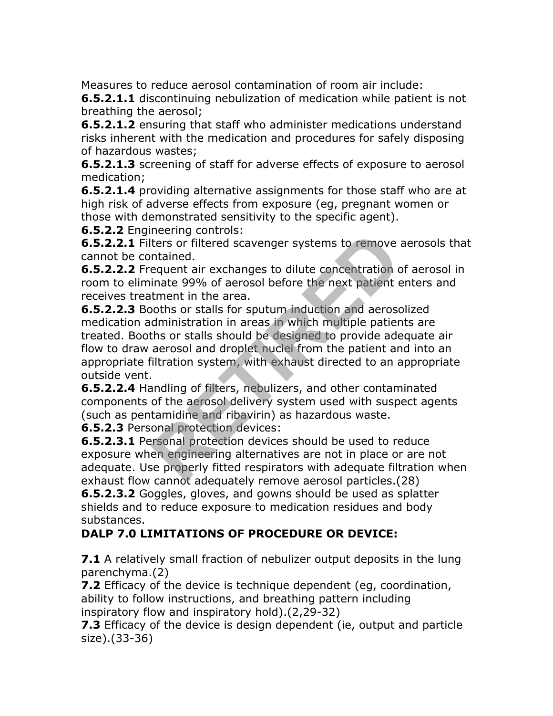Measures to reduce aerosol contamination of room air include:

**6.5.2.1.1** discontinuing nebulization of medication while patient is not breathing the aerosol;

**6.5.2.1.2** ensuring that staff who administer medications understand risks inherent with the medication and procedures for safely disposing of hazardous wastes;

**6.5.2.1.3** screening of staff for adverse effects of exposure to aerosol medication;

**6.5.2.1.4** providing alternative assignments for those staff who are at high risk of adverse effects from exposure (eg, pregnant women or those with demonstrated sensitivity to the specific agent).

**6.5.2.2** Engineering controls:

**6.5.2.2.1** Filters or filtered scavenger systems to remove aerosols that cannot be contained.

**6.5.2.2.2** Frequent air exchanges to dilute concentration of aerosol in room to eliminate 99% of aerosol before the next patient enters and receives treatment in the area.

**6.5.2.2.3** Booths or stalls for sputum induction and aerosolized medication administration in areas in which multiple patients are treated. Booths or stalls should be designed to provide adequate air flow to draw aerosol and droplet nuclei from the patient and into an appropriate filtration system, with exhaust directed to an appropriate outside vent. Heeling controls.<br>
ters or filtered scavenger systems to remove<br>
intained.<br>
equent air exchanges to dilute concentration is<br>
timent in the area.<br>
termed in the area.<br>
dooths or stalls for sputum induction and aeross<br>
dmini

**6.5.2.2.4** Handling of filters, nebulizers, and other contaminated components of the aerosol delivery system used with suspect agents (such as pentamidine and ribavirin) as hazardous waste.

**6.5.2.3** Personal protection devices:

**6.5.2.3.1** Personal protection devices should be used to reduce exposure when engineering alternatives are not in place or are not adequate. Use properly fitted respirators with adequate filtration when exhaust flow cannot adequately remove aerosol particles.(28)

**6.5.2.3.2** Goggles, gloves, and gowns should be used as splatter shields and to reduce exposure to medication residues and body substances.

## **DALP 7.0 LIMITATIONS OF PROCEDURE OR DEVICE:**

**7.1** A relatively small fraction of nebulizer output deposits in the lung parenchyma.(2)

**7.2** Efficacy of the device is technique dependent (eg, coordination, ability to follow instructions, and breathing pattern including inspiratory flow and inspiratory hold).(2,29-32)

**7.3** Efficacy of the device is design dependent (ie, output and particle size).(33-36)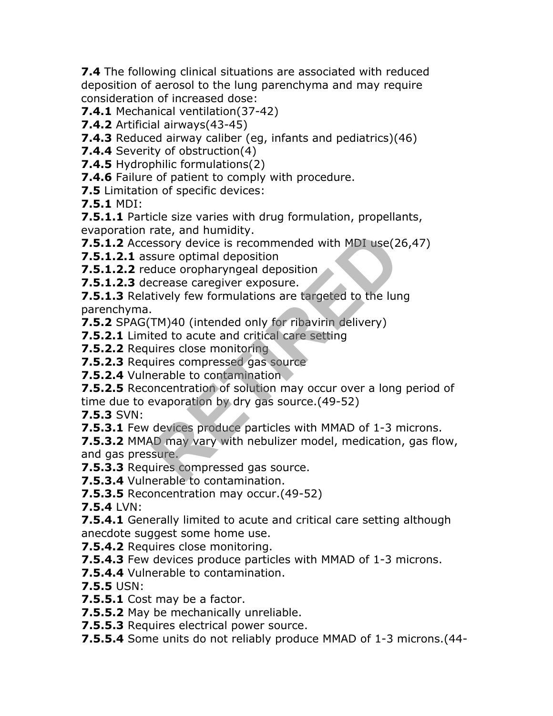**7.4** The following clinical situations are associated with reduced deposition of aerosol to the lung parenchyma and may require consideration of increased dose:

**7.4.1** Mechanical ventilation(37-42)

**7.4.2** Artificial airways(43-45)

**7.4.3** Reduced airway caliber (eg, infants and pediatrics)(46)

**7.4.4** Severity of obstruction(4)

**7.4.5** Hydrophilic formulations(2)

**7.4.6** Failure of patient to comply with procedure.

**7.5** Limitation of specific devices:

**7.5.1** MDI:

**7.5.1.1** Particle size varies with drug formulation, propellants, evaporation rate, and humidity.

**7.5.1.2** Accessory device is recommended with MDI use(26,47)

**7.5.1.2.1** assure optimal deposition

**7.5.1.2.2** reduce oropharyngeal deposition

**7.5.1.2.3** decrease caregiver exposure.

**7.5.1.3** Relatively few formulations are targeted to the lung parenchyma.

**7.5.2** SPAG(TM)40 (intended only for ribavirin delivery)

**7.5.2.1** Limited to acute and critical care setting

**7.5.2.2** Requires close monitoring

**7.5.2.3** Requires compressed gas source

**7.5.2.4** Vulnerable to contamination

**7.5.2.5** Reconcentration of solution may occur over a long period of time due to evaporation by dry gas source.(49-52) rate, and nummaty.<br>
Sissory device is recommended with MDI use(2<br>
sure optimal deposition<br>
duce oropharyngeal deposition<br>
crease caregiver exposure.<br>
TM)40 (intended only for ribavirin delivery)<br>
ted to acute and critical

**7.5.3** SVN:

**7.5.3.1** Few devices produce particles with MMAD of 1-3 microns.

**7.5.3.2** MMAD may vary with nebulizer model, medication, gas flow, and gas pressure.

**7.5.3.3** Requires compressed gas source.

**7.5.3.4** Vulnerable to contamination.

**7.5.3.5** Reconcentration may occur.(49-52)

**7.5.4** LVN:

**7.5.4.1** Generally limited to acute and critical care setting although anecdote suggest some home use.

**7.5.4.2** Requires close monitoring.

**7.5.4.3** Few devices produce particles with MMAD of 1-3 microns.

**7.5.4.4** Vulnerable to contamination.

**7.5.5** USN:

**7.5.5.1** Cost may be a factor.

**7.5.5.2** May be mechanically unreliable.

**7.5.5.3** Requires electrical power source.

**7.5.5.4** Some units do not reliably produce MMAD of 1-3 microns.(44-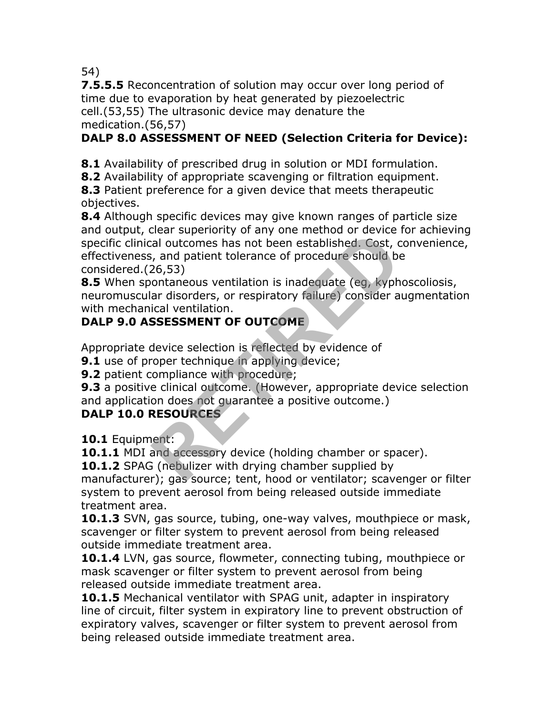54)

**7.5.5.5** Reconcentration of solution may occur over long period of time due to evaporation by heat generated by piezoelectric cell.(53,55) The ultrasonic device may denature the medication.(56,57)

## **DALP 8.0 ASSESSMENT OF NEED (Selection Criteria for Device):**

**8.1** Availability of prescribed drug in solution or MDI formulation.

**8.2** Availability of appropriate scavenging or filtration equipment.

**8.3** Patient preference for a given device that meets therapeutic objectives.

**8.4** Although specific devices may give known ranges of particle size and output, clear superiority of any one method or device for achieving specific clinical outcomes has not been established. Cost, convenience, effectiveness, and patient tolerance of procedure should be considered.(26,53) Example the stabilished. Cost, c<br>
is a patient tolerance of procedure should be<br>
26,53)<br>
ontaneous ventilation is inadequate (eg, kyph<br>
ar disorders, or respiratory failure) consider a<br>
ical ventilation.<br> **SSESSMENT OF OUT** 

**8.5** When spontaneous ventilation is inadequate (eg, kyphoscoliosis, neuromuscular disorders, or respiratory failure) consider augmentation with mechanical ventilation.

## **DALP 9.0 ASSESSMENT OF OUTCOME**

Appropriate device selection is reflected by evidence of

**9.1** use of proper technique in applying device;

**9.2** patient compliance with procedure;

**9.3** a positive clinical outcome. (However, appropriate device selection and application does not guarantee a positive outcome.)

#### **DALP 10.0 RESOURCES**

**10.1** Equipment:

**10.1.1** MDI and accessory device (holding chamber or spacer).

**10.1.2** SPAG (nebulizer with drying chamber supplied by

manufacturer); gas source; tent, hood or ventilator; scavenger or filter system to prevent aerosol from being released outside immediate treatment area.

**10.1.3** SVN, gas source, tubing, one-way valves, mouthpiece or mask, scavenger or filter system to prevent aerosol from being released outside immediate treatment area.

**10.1.4** LVN, gas source, flowmeter, connecting tubing, mouthpiece or mask scavenger or filter system to prevent aerosol from being released outside immediate treatment area.

**10.1.5** Mechanical ventilator with SPAG unit, adapter in inspiratory line of circuit, filter system in expiratory line to prevent obstruction of expiratory valves, scavenger or filter system to prevent aerosol from being released outside immediate treatment area.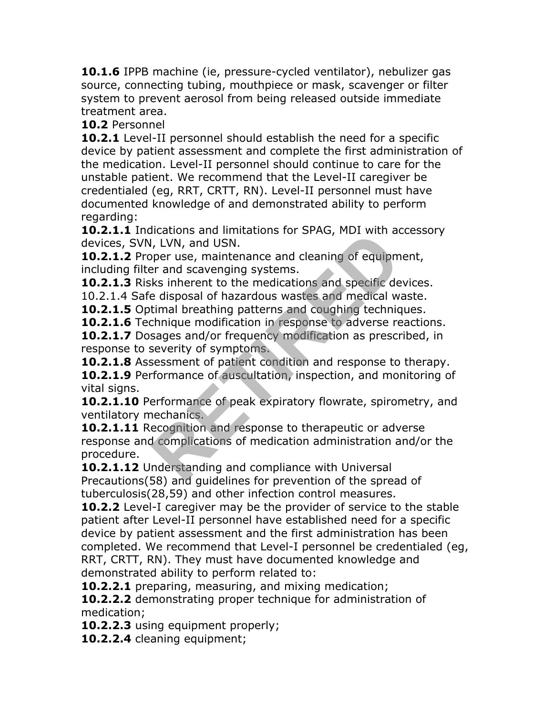**10.1.6** IPPB machine (ie, pressure-cycled ventilator), nebulizer gas source, connecting tubing, mouthpiece or mask, scavenger or filter system to prevent aerosol from being released outside immediate treatment area.

**10.2** Personnel

**10.2.1** Level-II personnel should establish the need for a specific device by patient assessment and complete the first administration of the medication. Level-II personnel should continue to care for the unstable patient. We recommend that the Level-II caregiver be credentialed (eg, RRT, CRTT, RN). Level-II personnel must have documented knowledge of and demonstrated ability to perform regarding:

**10.2.1.1** Indications and limitations for SPAG, MDI with accessory devices, SVN, LVN, and USN.

**10.2.1.2** Proper use, maintenance and cleaning of equipment, including filter and scavenging systems.

**10.2.1.3** Risks inherent to the medications and specific devices.

10.2.1.4 Safe disposal of hazardous wastes and medical waste.

**10.2.1.5** Optimal breathing patterns and coughing techniques.

**10.2.1.6** Technique modification in response to adverse reactions.

**10.2.1.7** Dosages and/or frequency modification as prescribed, in response to severity of symptoms.

**10.2.1.8** Assessment of patient condition and response to therapy. **10.2.1.9** Performance of auscultation, inspection, and monitoring of vital signs.

**10.2.1.10** Performance of peak expiratory flowrate, spirometry, and ventilatory mechanics.

**10.2.1.11** Recognition and response to therapeutic or adverse response and complications of medication administration and/or the procedure. I, LVN, and USN.<br>
I, LVN, and USN.<br>
Per use, maintenance and cleaning of equipm<br>
are and scavenging systems.<br>
Kis inherent to the medications and specific de<br>
e disposal of hazardous wastes and medical w<br>
timal breathing p

**10.2.1.12** Understanding and compliance with Universal Precautions(58) and guidelines for prevention of the spread of tuberculosis(28,59) and other infection control measures.

**10.2.2** Level-I caregiver may be the provider of service to the stable patient after Level-II personnel have established need for a specific device by patient assessment and the first administration has been completed. We recommend that Level-I personnel be credentialed (eg, RRT, CRTT, RN). They must have documented knowledge and demonstrated ability to perform related to:

**10.2.2.1** preparing, measuring, and mixing medication;

**10.2.2.2** demonstrating proper technique for administration of medication;

**10.2.2.3** using equipment properly;

**10.2.2.4** cleaning equipment;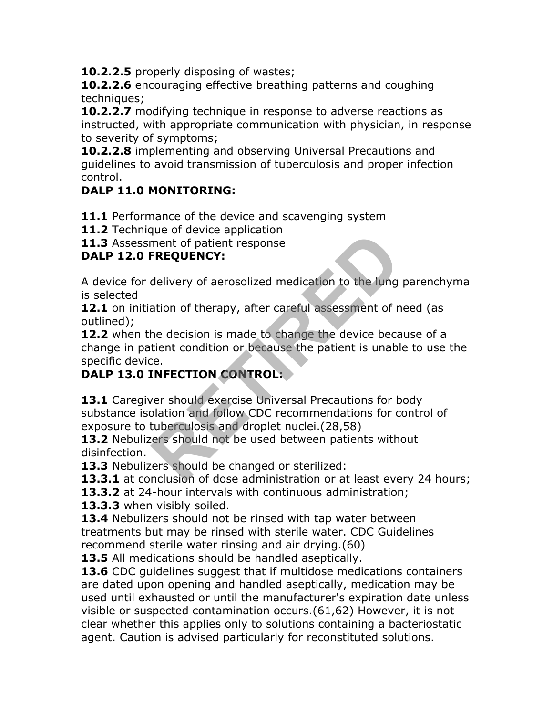**10.2.2.5** properly disposing of wastes;

**10.2.2.6** encouraging effective breathing patterns and coughing techniques;

**10.2.2.7** modifying technique in response to adverse reactions as instructed, with appropriate communication with physician, in response to severity of symptoms;

**10.2.2.8** implementing and observing Universal Precautions and guidelines to avoid transmission of tuberculosis and proper infection control.

## **DALP 11.0 MONITORING:**

**11.1** Performance of the device and scavenging system

11.2 Technique of device application

**11.3** Assessment of patient response

## **DALP 12.0 FREQUENCY:**

A device for delivery of aerosolized medication to the lung parenchyma is selected

12.1 on initiation of therapy, after careful assessment of need (as outlined);

**12.2** when the decision is made to change the device because of a change in patient condition or because the patient is unable to use the specific device. ment of patient response<br>**REQUENCY:**<br>delivery of aerosolized medication to the lung<br>ation of therapy, after careful assessment of n<br>he decision is made to change the device beca<br>tient condition or because the patient is un

## **DALP 13.0 INFECTION CONTROL:**

13.1 Caregiver should exercise Universal Precautions for body substance isolation and follow CDC recommendations for control of exposure to tuberculosis and droplet nuclei.(28,58)

13.2 Nebulizers should not be used between patients without disinfection.

**13.3** Nebulizers should be changed or sterilized:

**13.3.1** at conclusion of dose administration or at least every 24 hours;

**13.3.2** at 24-hour intervals with continuous administration;

**13.3.3** when visibly soiled.

**13.4** Nebulizers should not be rinsed with tap water between treatments but may be rinsed with sterile water. CDC Guidelines recommend sterile water rinsing and air drying.(60)

**13.5** All medications should be handled aseptically.

**13.6** CDC guidelines suggest that if multidose medications containers are dated upon opening and handled aseptically, medication may be used until exhausted or until the manufacturer's expiration date unless visible or suspected contamination occurs.(61,62) However, it is not clear whether this applies only to solutions containing a bacteriostatic agent. Caution is advised particularly for reconstituted solutions.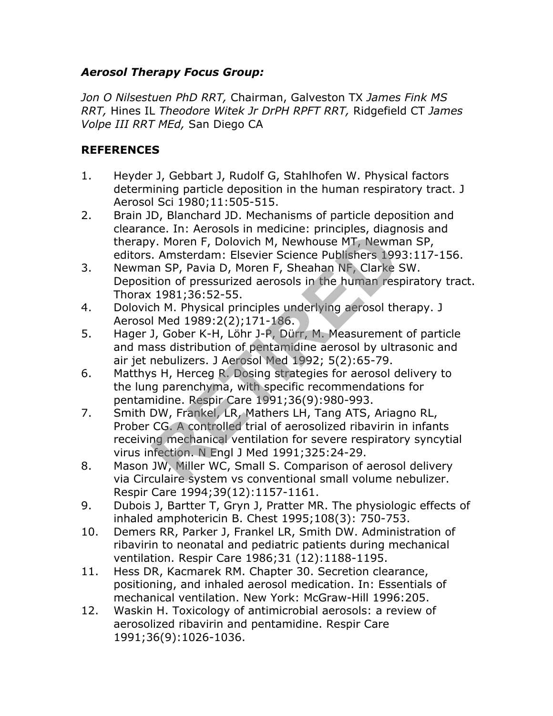#### *Aerosol Therapy Focus Group:*

*Jon O Nilsestuen PhD RRT,* Chairman, Galveston TX *James Fink MS RRT,* Hines IL *Theodore Witek Jr DrPH RPFT RRT,* Ridgefield CT *James Volpe III RRT MEd,* San Diego CA

#### **REFERENCES**

- 1. Heyder J, Gebbart J, Rudolf G, Stahlhofen W. Physical factors determining particle deposition in the human respiratory tract. J Aerosol Sci 1980;11:505-515.
- 2. Brain JD, Blanchard JD. Mechanisms of particle deposition and clearance. In: Aerosols in medicine: principles, diagnosis and therapy. Moren F, Dolovich M, Newhouse MT, Newman SP, editors. Amsterdam: Elsevier Science Publishers 1993:117-156.
- 3. Newman SP, Pavia D, Moren F, Sheahan NF, Clarke SW. Deposition of pressurized aerosols in the human respiratory tract. Thorax 1981;36:52-55.
- 4. Dolovich M. Physical principles underlying aerosol therapy. J Aerosol Med 1989:2(2);171-186.
- 5. Hager J, Gober K-H, Löhr J-P, Dürr, M. Measurement of particle and mass distribution of pentamidine aerosol by ultrasonic and air jet nebulizers. J Aerosol Med 1992; 5(2):65-79.
- 6. Matthys H, Herceg R. Dosing strategies for aerosol delivery to the lung parenchyma, with specific recommendations for pentamidine. Respir Care 1991;36(9):980-993.
- 7. Smith DW, Frankel, LR, Mathers LH, Tang ATS, Ariagno RL, Prober CG. A controlled trial of aerosolized ribavirin in infants receiving mechanical ventilation for severe respiratory syncytial virus infection. N Engl J Med 1991;325:24-29. Form *F* . Dolovich M, Newhouse MT, Newmay<br> *R. Moren F, Dolovich M, Newhouse MT, Newmay*<br> *R. Amsterdam: Elsevier Science Publishers 199*<br>
an SP, Pavia D, Moren F, Sheahan NF, Clarke 9<br>
tion of pressurized aerosols in the
- 8. Mason JW, Miller WC, Small S. Comparison of aerosol delivery via Circulaire system vs conventional small volume nebulizer. Respir Care 1994;39(12):1157-1161.
- 9. Dubois J, Bartter T, Gryn J, Pratter MR. The physiologic effects of inhaled amphotericin B. Chest 1995;108(3): 750-753.
- 10. Demers RR, Parker J, Frankel LR, Smith DW. Administration of ribavirin to neonatal and pediatric patients during mechanical ventilation. Respir Care 1986;31 (12):1188-1195.
- 11. Hess DR, Kacmarek RM. Chapter 30. Secretion clearance, positioning, and inhaled aerosol medication. In: Essentials of mechanical ventilation. New York: McGraw-Hill 1996:205.
- 12. Waskin H. Toxicology of antimicrobial aerosols: a review of aerosolized ribavirin and pentamidine. Respir Care 1991;36(9):1026-1036.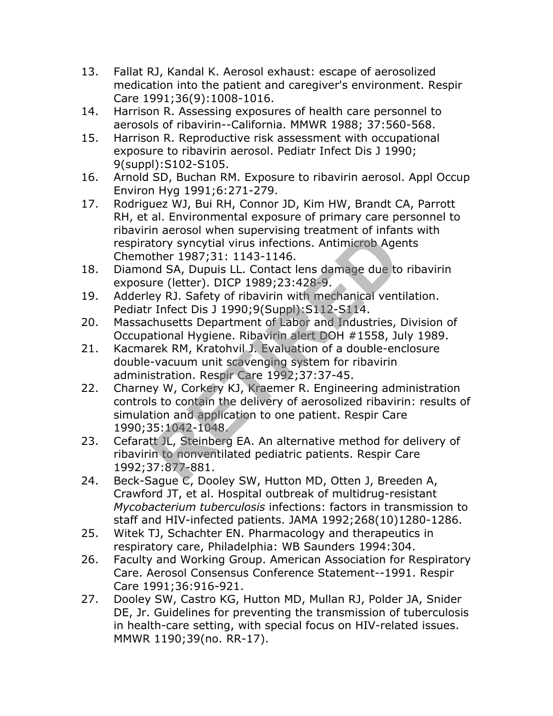- 13. Fallat RJ, Kandal K. Aerosol exhaust: escape of aerosolized medication into the patient and caregiver's environment. Respir Care 1991;36(9):1008-1016.
- 14. Harrison R. Assessing exposures of health care personnel to aerosols of ribavirin--California. MMWR 1988; 37:560-568.
- 15. Harrison R. Reproductive risk assessment with occupational exposure to ribavirin aerosol. Pediatr Infect Dis J 1990; 9(suppl):S102-S105.
- 16. Arnold SD, Buchan RM. Exposure to ribavirin aerosol. Appl Occup Environ Hyg 1991;6:271-279.
- 17. Rodriguez WJ, Bui RH, Connor JD, Kim HW, Brandt CA, Parrott RH, et al. Environmental exposure of primary care personnel to ribavirin aerosol when supervising treatment of infants with respiratory syncytial virus infections. Antimicrob Agents Chemother 1987;31: 1143-1146.
- 18. Diamond SA, Dupuis LL. Contact lens damage due to ribavirin exposure (letter). DICP 1989;23:428-9.
- 19. Adderley RJ. Safety of ribavirin with mechanical ventilation. Pediatr Infect Dis J 1990;9(Suppl):S112-S114.
- 20. Massachusetts Department of Labor and Industries, Division of Occupational Hygiene. Ribavirin alert DOH #1558, July 1989.
- 21. Kacmarek RM, Kratohvil J. Evaluation of a double-enclosure double-vacuum unit scavenging system for ribavirin administration. Respir Care 1992;37:37-45.
- 22. Charney W, Corkery KJ, Kraemer R. Engineering administration controls to contain the delivery of aerosolized ribavirin: results of simulation and application to one patient. Respir Care 1990;35:1042-1048. If denoted in the sperificial virtual tory syncytial virtual format<br>tory syncytial virtual fiections. Antimicrob Age<br>ther 1987;31: 1143-1146.<br>In detail of A, Dupuis LL. Contact lens damage due to<br>tre (letter). DICP 1989;23
- 23. Cefaratt JL, Steinberg EA. An alternative method for delivery of ribavirin to nonventilated pediatric patients. Respir Care 1992;37:877-881.
- 24. Beck-Sague C, Dooley SW, Hutton MD, Otten J, Breeden A, Crawford JT, et al. Hospital outbreak of multidrug-resistant *Mycobacterium tuberculosis* infections: factors in transmission to staff and HIV-infected patients. JAMA 1992;268(10)1280-1286.
- 25. Witek TJ, Schachter EN. Pharmacology and therapeutics in respiratory care, Philadelphia: WB Saunders 1994:304.
- 26. Faculty and Working Group. American Association for Respiratory Care. Aerosol Consensus Conference Statement--1991. Respir Care 1991;36:916-921.
- 27. Dooley SW, Castro KG, Hutton MD, Mullan RJ, Polder JA, Snider DE, Jr. Guidelines for preventing the transmission of tuberculosis in health-care setting, with special focus on HIV-related issues. MMWR 1190;39(no. RR-17).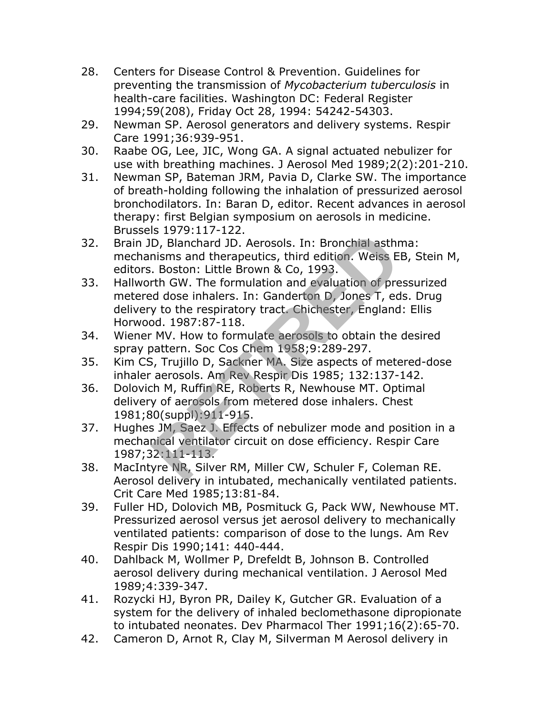- 28. Centers for Disease Control & Prevention. Guidelines for preventing the transmission of *Mycobacterium tuberculosis* in health-care facilities. Washington DC: Federal Register 1994;59(208), Friday Oct 28, 1994: 54242-54303.
- 29. Newman SP. Aerosol generators and delivery systems. Respir Care 1991;36:939-951.
- 30. Raabe OG, Lee, JIC, Wong GA. A signal actuated nebulizer for use with breathing machines. J Aerosol Med 1989;2(2):201-210.
- 31. Newman SP, Bateman JRM, Pavia D, Clarke SW. The importance of breath-holding following the inhalation of pressurized aerosol bronchodilators. In: Baran D, editor. Recent advances in aerosol therapy: first Belgian symposium on aerosols in medicine. Brussels 1979:117-122.
- 32. Brain JD, Blanchard JD. Aerosols. In: Bronchial asthma: mechanisms and therapeutics, third edition. Weiss EB, Stein M, editors. Boston: Little Brown & Co, 1993.
- 33. Hallworth GW. The formulation and evaluation of pressurized metered dose inhalers. In: Ganderton D, Jones T, eds. Drug delivery to the respiratory tract. Chichester, England: Ellis Horwood. 1987:87-118. B. 1979.117 122.<br>
D, Blanchard JD. Aerosols. In: Bronchial asthm<br>
nisms and therapeutics, third edition. Weiss E.<br>
Boston: Little Brown & Co, 1993.<br>
trh GW. The formulation and evaluation of pre<br>
ed dose inhalers. In: Gand
- 34. Wiener MV. How to formulate aerosols to obtain the desired spray pattern. Soc Cos Chem 1958;9:289-297.
- 35. Kim CS, Trujillo D, Sackner MA. Size aspects of metered-dose inhaler aerosols. Am Rev Respir Dis 1985; 132:137-142.
- 36. Dolovich M, Ruffin RE, Roberts R, Newhouse MT. Optimal delivery of aerosols from metered dose inhalers. Chest 1981;80(suppl):911-915.
- 37. Hughes JM, Saez J. Effects of nebulizer mode and position in a mechanical ventilator circuit on dose efficiency. Respir Care 1987;32:111-113.
- 38. MacIntyre NR, Silver RM, Miller CW, Schuler F, Coleman RE. Aerosol delivery in intubated, mechanically ventilated patients. Crit Care Med 1985;13:81-84.
- 39. Fuller HD, Dolovich MB, Posmituck G, Pack WW, Newhouse MT. Pressurized aerosol versus jet aerosol delivery to mechanically ventilated patients: comparison of dose to the lungs. Am Rev Respir Dis 1990;141: 440-444.
- 40. Dahlback M, Wollmer P, Drefeldt B, Johnson B. Controlled aerosol delivery during mechanical ventilation. J Aerosol Med 1989;4:339-347.
- 41. Rozycki HJ, Byron PR, Dailey K, Gutcher GR. Evaluation of a system for the delivery of inhaled beclomethasone dipropionate to intubated neonates. Dev Pharmacol Ther 1991;16(2):65-70.
- 42. Cameron D, Arnot R, Clay M, Silverman M Aerosol delivery in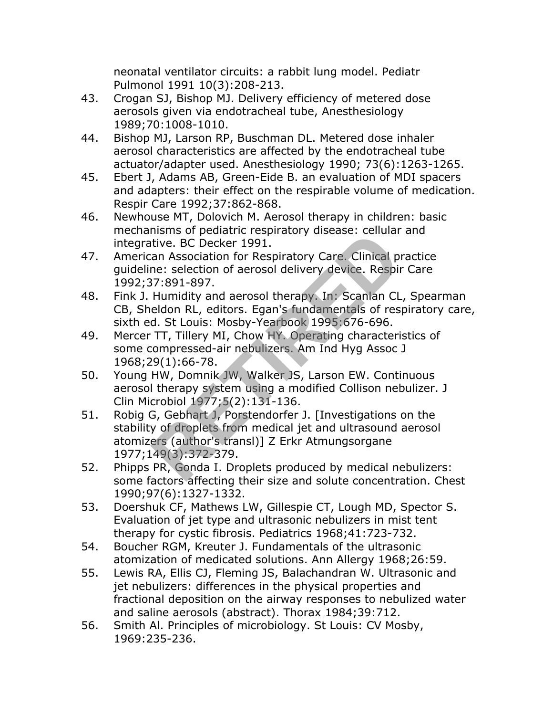neonatal ventilator circuits: a rabbit lung model. Pediatr Pulmonol 1991 10(3):208-213.

- 43. Crogan SJ, Bishop MJ. Delivery efficiency of metered dose aerosols given via endotracheal tube, Anesthesiology 1989;70:1008-1010.
- 44. Bishop MJ, Larson RP, Buschman DL. Metered dose inhaler aerosol characteristics are affected by the endotracheal tube actuator/adapter used. Anesthesiology 1990; 73(6):1263-1265.
- 45. Ebert J, Adams AB, Green-Eide B. an evaluation of MDI spacers and adapters: their effect on the respirable volume of medication. Respir Care 1992;37:862-868.
- 46. Newhouse MT, Dolovich M. Aerosol therapy in children: basic mechanisms of pediatric respiratory disease: cellular and integrative. BC Decker 1991.
- 47. American Association for Respiratory Care. Clinical practice guideline: selection of aerosol delivery device. Respir Care 1992;37:891-897.
- 48. Fink J. Humidity and aerosol therapy. In: Scanlan CL, Spearman CB, Sheldon RL, editors. Egan's fundamentals of respiratory care, sixth ed. St Louis: Mosby-Yearbook 1995:676-696.
- 49. Mercer TT, Tillery MI, Chow HY. Operating characteristics of some compressed-air nebulizers. Am Ind Hyg Assoc J 1968;29(1):66-78.
- 50. Young HW, Domnik JW, Walker JS, Larson EW. Continuous aerosol therapy system using a modified Collison nebulizer. J Clin Microbiol 1977;5(2):131-136.
- 51. Robig G, Gebhart J, Porstendorfer J. [Investigations on the stability of droplets from medical jet and ultrasound aerosol atomizers (author's transl)] Z Erkr Atmungsorgane 1977;149(3):372-379. mains of pediatric respiratory disease. Central<br>tive. BC Decker 1991.<br>The selection of aerosol delivery device. Respirance: selection of aerosol delivery device. Respirance:<br>Real of accosol delivery device. Respirances<br>eld
- 52. Phipps PR, Gonda I. Droplets produced by medical nebulizers: some factors affecting their size and solute concentration. Chest 1990;97(6):1327-1332.
- 53. Doershuk CF, Mathews LW, Gillespie CT, Lough MD, Spector S. Evaluation of jet type and ultrasonic nebulizers in mist tent therapy for cystic fibrosis. Pediatrics 1968;41:723-732.
- 54. Boucher RGM, Kreuter J. Fundamentals of the ultrasonic atomization of medicated solutions. Ann Allergy 1968;26:59.
- 55. Lewis RA, Ellis CJ, Fleming JS, Balachandran W. Ultrasonic and jet nebulizers: differences in the physical properties and fractional deposition on the airway responses to nebulized water and saline aerosols (abstract). Thorax 1984;39:712.
- 56. Smith Al. Principles of microbiology. St Louis: CV Mosby, 1969:235-236.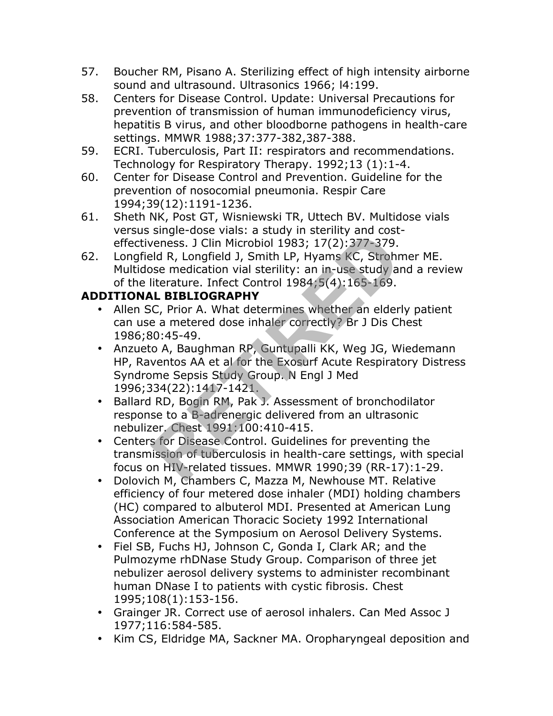- 57. Boucher RM, Pisano A. Sterilizing effect of high intensity airborne sound and ultrasound. Ultrasonics 1966; l4:199.
- 58. Centers for Disease Control. Update: Universal Precautions for prevention of transmission of human immunodeficiency virus, hepatitis B virus, and other bloodborne pathogens in health-care settings. MMWR 1988;37:377-382,387-388.
- 59. ECRI. Tuberculosis, Part II: respirators and recommendations. Technology for Respiratory Therapy. 1992;13 (1):1-4.
- 60. Center for Disease Control and Prevention. Guideline for the prevention of nosocomial pneumonia. Respir Care 1994;39(12):1191-1236.
- 61. Sheth NK, Post GT, Wisniewski TR, Uttech BV. Multidose vials versus single-dose vials: a study in sterility and costeffectiveness. J Clin Microbiol 1983; 17(2):377-379.
- 62. Longfield R, Longfield J, Smith LP, Hyams KC, Strohmer ME. Multidose medication vial sterility: an in-use study and a review of the literature. Infect Control 1984;5(4):165-169.

## **ADDITIONAL BIBLIOGRAPHY**

- Allen SC, Prior A. What determines whether an elderly patient can use a metered dose inhaler correctly? Br J Dis Chest 1986;80:45-49.
- Anzueto A, Baughman RP, Guntupalli KK, Weg JG, Wiedemann HP, Raventos AA et al for the Exosurf Acute Respiratory Distress Syndrome Sepsis Study Group. N Engl J Med 1996;334(22):1417-1421. single dose vials. a study in stering and cost<br>
reness. J Clin Microbiol 1983; 17(2):377-379.<br>
Eld R, Longfield J, Smith LP, Hyams KC, Strohn<br>
see medication vial sterility: an in-use study at<br>
literature. Infect Control 1
- Ballard RD, Bogin RM, Pak J. Assessment of bronchodilator response to a B-adrenergic delivered from an ultrasonic nebulizer. Chest 1991:100:410-415.
- Centers for Disease Control. Guidelines for preventing the transmission of tuberculosis in health-care settings, with special focus on HIV-related tissues. MMWR 1990;39 (RR-17):1-29.
- Dolovich M, Chambers C, Mazza M, Newhouse MT. Relative efficiency of four metered dose inhaler (MDI) holding chambers (HC) compared to albuterol MDI. Presented at American Lung Association American Thoracic Society 1992 International Conference at the Symposium on Aerosol Delivery Systems.
- Fiel SB, Fuchs HJ, Johnson C, Gonda I, Clark AR; and the Pulmozyme rhDNase Study Group. Comparison of three jet nebulizer aerosol delivery systems to administer recombinant human DNase I to patients with cystic fibrosis. Chest 1995;108(1):153-156.
- Grainger JR. Correct use of aerosol inhalers. Can Med Assoc J 1977;116:584-585.
- Kim CS, Eldridge MA, Sackner MA. Oropharyngeal deposition and